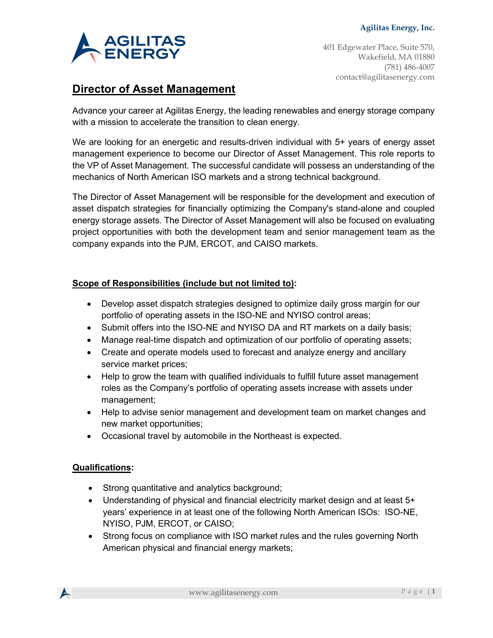

401 Edgewater Place, Suite 570, Wakefield, MA 01880 (781) 486-4007 contact@agilitasenergy.com

# **Director of Asset Management**

Advance your career at Agilitas Energy, the leading renewables and energy storage company with a mission to accelerate the transition to clean energy.

We are looking for an energetic and results-driven individual with 5+ years of energy asset management experience to become our Director of Asset Management. This role reports to the VP of Asset Management. The successful candidate will possess an understanding of the mechanics of North American ISO markets and a strong technical background.

The Director of Asset Management will be responsible for the development and execution of asset dispatch strategies for financially optimizing the Company's stand-alone and coupled energy storage assets. The Director of Asset Management will also be focused on evaluating project opportunities with both the development team and senior management team as the company expands into the PJM, ERCOT, and CAISO markets.

# **Scope of Responsibilities (include but not limited to):**

- Develop asset dispatch strategies designed to optimize daily gross margin for our portfolio of operating assets in the ISO-NE and NYISO control areas;
- Submit offers into the ISO-NE and NYISO DA and RT markets on a daily basis;
- Manage real-time dispatch and optimization of our portfolio of operating assets;
- Create and operate models used to forecast and analyze energy and ancillary service market prices;
- Help to grow the team with qualified individuals to fulfill future asset management roles as the Company's portfolio of operating assets increase with assets under management;
- Help to advise senior management and development team on market changes and new market opportunities;
- Occasional travel by automobile in the Northeast is expected.

### **Qualifications:**

- Strong quantitative and analytics background;
- Understanding of physical and financial electricity market design and at least 5+ years' experience in at least one of the following North American ISOs: ISO-NE, NYISO, PJM, ERCOT, or CAISO;
- Strong focus on compliance with ISO market rules and the rules governing North American physical and financial energy markets;